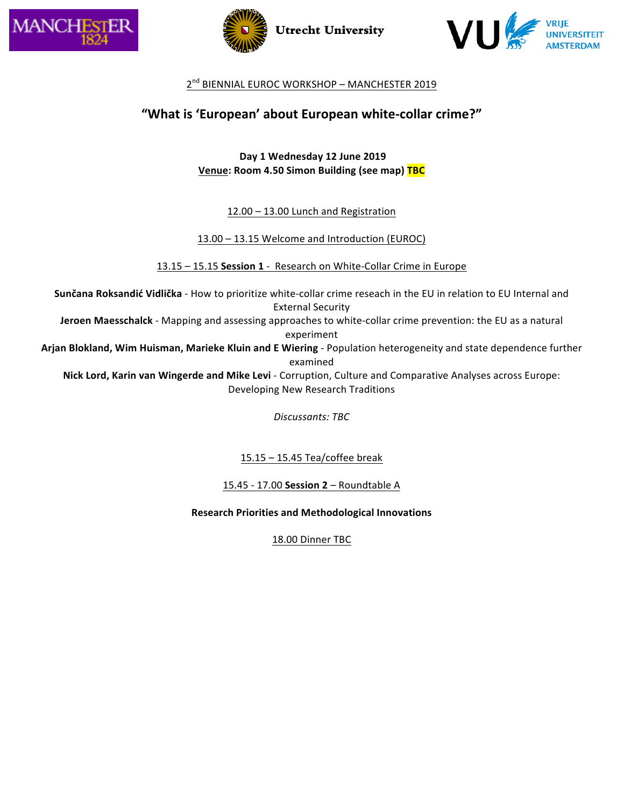





## 2<sup>nd</sup> BIENNIAL EUROC WORKSHOP - MANCHESTER 2019

# "What is 'European' about European white-collar crime?"

**Day 1 Wednesday 12 June 2019 Venue: Room 4.50 Simon Building (see map) TBC** 

 $12.00 - 13.00$  Lunch and Registration

13.00 - 13.15 Welcome and Introduction (EUROC)

13.15 - 15.15 Session 1 - Research on White-Collar Crime in Europe

**Sunčana Roksandić Vidlička** - How to prioritize white-collar crime reseach in the EU in relation to EU Internal and **External Security Jeroen Maesschalck** - Mapping and assessing approaches to white-collar crime prevention: the EU as a natural

experiment

Arjan Blokland, Wim Huisman, Marieke Kluin and E Wiering - Population heterogeneity and state dependence further examined

**Nick Lord, Karin van Wingerde and Mike Levi** - Corruption, Culture and Comparative Analyses across Europe: Developing New Research Traditions

*Discussants: TBC*

 $15.15 - 15.45$  Tea/coffee break

15.45 - 17.00 **Session 2** – Roundtable A

**Research Priorities and Methodological Innovations**

18.00 Dinner TBC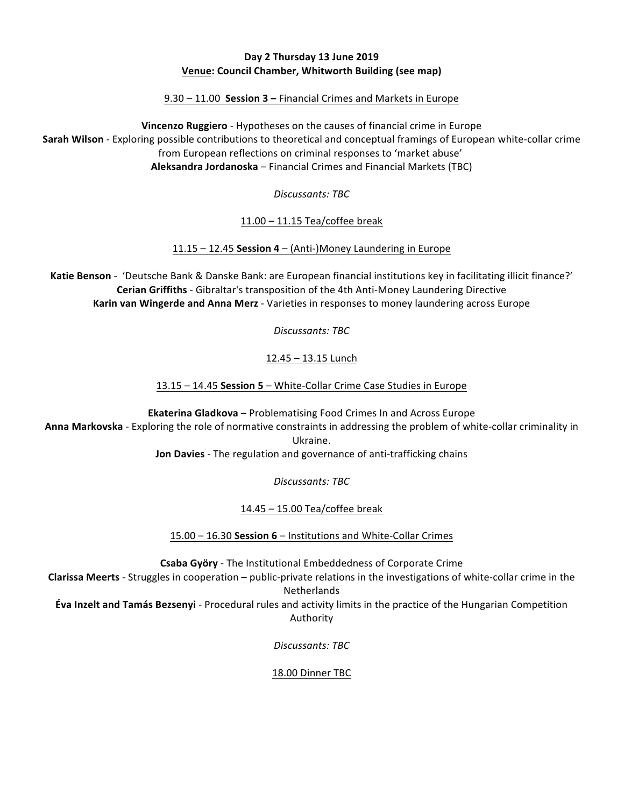#### **Day 2 Thursday 13 June 2019 Venue: Council Chamber, Whitworth Building (see map)**

9.30 – 11.00 **Session 3** – Financial Crimes and Markets in Europe

**Vincenzo Ruggiero** - Hypotheses on the causes of financial crime in Europe **Sarah Wilson** - Exploring possible contributions to theoretical and conceptual framings of European white-collar crime from European reflections on criminal responses to 'market abuse' Aleksandra Jordanoska – Financial Crimes and Financial Markets (TBC)

*Discussants: TBC*

 $11.00 - 11.15$  Tea/coffee break

 $11.15 - 12.45$  Session  $4 - (Anti-)$ Money Laundering in Europe

**Katie Benson** - 'Deutsche Bank & Danske Bank: are European financial institutions key in facilitating illicit finance?' **Cerian Griffiths** - Gibraltar's transposition of the 4th Anti-Money Laundering Directive **Karin van Wingerde and Anna Merz** - Varieties in responses to money laundering across Europe

*Discussants: TBC*

12.45 - 13.15 Lunch

13.15 - 14.45 **Session 5** - White-Collar Crime Case Studies in Europe

**Ekaterina Gladkova** – Problematising Food Crimes In and Across Europe Anna Markovska - Exploring the role of normative constraints in addressing the problem of white-collar criminality in Ukraine.

**Jon Davies** - The regulation and governance of anti-trafficking chains

*Discussants: TBC*

14.45 - 15.00 Tea/coffee break

15.00 – 16.30 **Session 6** – Institutions and White-Collar Crimes

**Csaba Györy** - The Institutional Embeddedness of Corporate Crime

**Clarissa Meerts** - Struggles in cooperation – public-private relations in the investigations of white-collar crime in the Netherlands

**Éva Inzelt and Tamás Bezsenyi** - Procedural rules and activity limits in the practice of the Hungarian Competition Authority

*Discussants: TBC*

18.00 Dinner TBC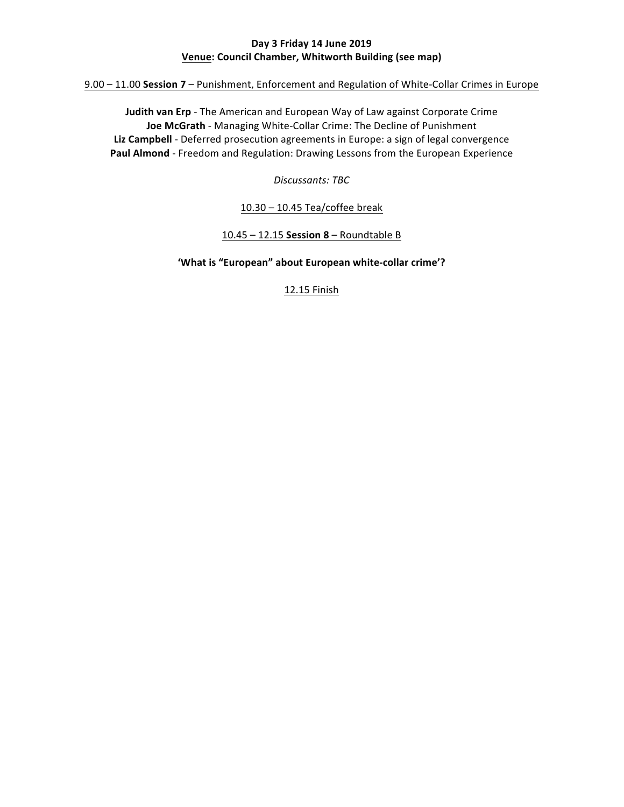## **Day 3 Friday 14 June 2019 <u>Venue:</u>** Council Chamber, Whitworth Building (see map)

9.00 – 11.00 Session 7 – Punishment, Enforcement and Regulation of White-Collar Crimes in Europe

**Judith van Erp** - The American and European Way of Law against Corporate Crime **Joe McGrath** - Managing White-Collar Crime: The Decline of Punishment Liz Campbell - Deferred prosecution agreements in Europe: a sign of legal convergence Paul Almond - Freedom and Regulation: Drawing Lessons from the European Experience

*Discussants: TBC*

 $10.30 - 10.45$  Tea/coffee break

10.45 – 12.15 **Session 8** – Roundtable B

'What is "European" about European white-collar crime'?

12.15 Finish